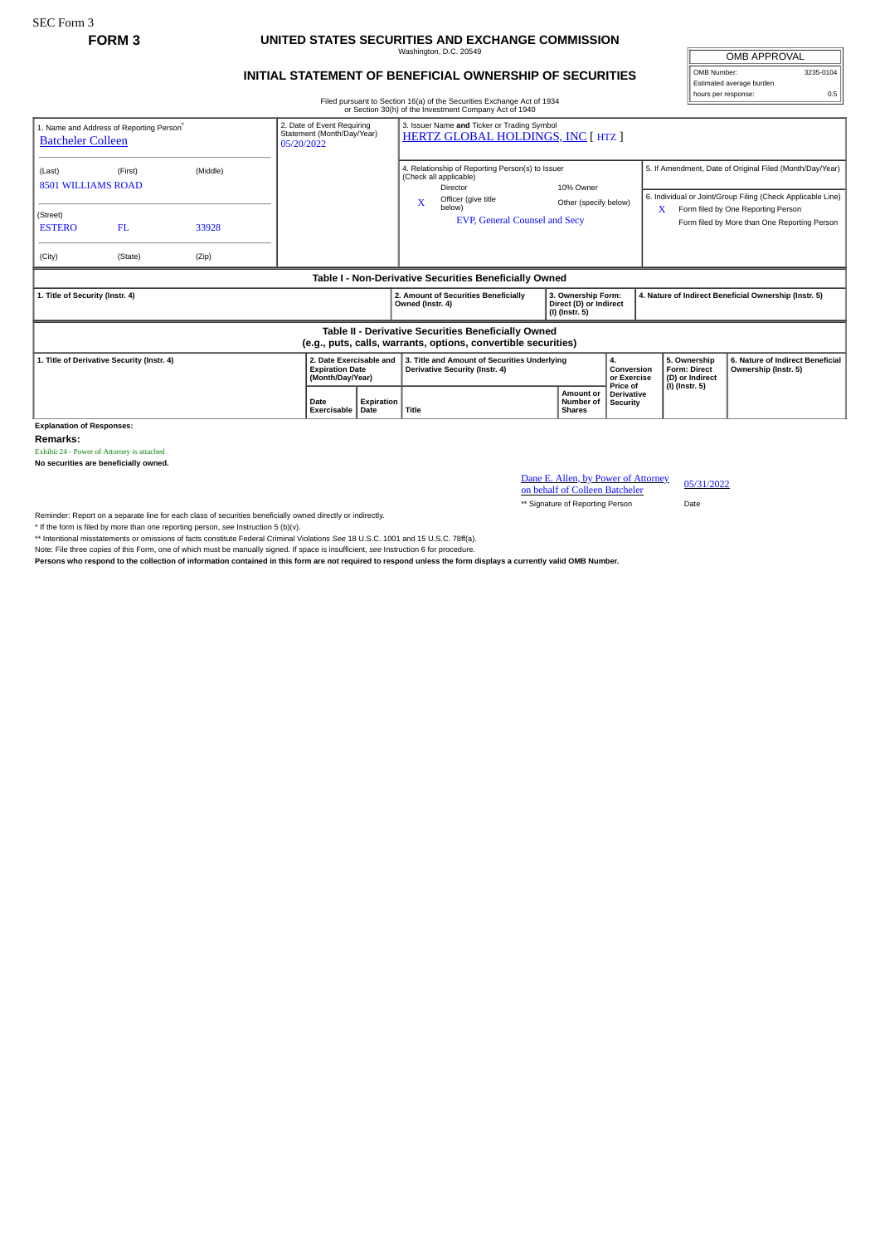SEC Form 3

## **FORM 3 UNITED STATES SECURITIES AND EXCHANGE COMMISSION**

Washington, D.C. 20549

OMB APPROVAL OMB Number: 3235-0104 Estimated average burden hours per response: 0.5

## **INITIAL STATEMENT OF BENEFICIAL OWNERSHIP OF SECURITIES**

Filed pursuant to Section 16(a) of the Securities Exchange Act of 1934 or Section 30(h) of the Investment Company Act of 1940

|                                                                                                                       |                                                      |            |                                                                                                                                                      |                                                                                                                    |                  | of Section Softh of the investment Company Act of 1940                         |                                    |                                                                |                                                                                                                         |                                                                                         |                                                                          |                                                          |
|-----------------------------------------------------------------------------------------------------------------------|------------------------------------------------------|------------|------------------------------------------------------------------------------------------------------------------------------------------------------|--------------------------------------------------------------------------------------------------------------------|------------------|--------------------------------------------------------------------------------|------------------------------------|----------------------------------------------------------------|-------------------------------------------------------------------------------------------------------------------------|-----------------------------------------------------------------------------------------|--------------------------------------------------------------------------|----------------------------------------------------------|
| <b>Batcheler Colleen</b>                                                                                              | 1. Name and Address of Reporting Person <sup>®</sup> | 05/20/2022 | 2. Date of Event Requiring<br>3. Issuer Name and Ticker or Trading Symbol<br>Statement (Month/Day/Year)<br><b>HERTZ GLOBAL HOLDINGS, INC [ HTZ ]</b> |                                                                                                                    |                  |                                                                                |                                    |                                                                |                                                                                                                         |                                                                                         |                                                                          |                                                          |
| (Last)<br>(First)<br>(Middle)<br><b>8501 WILLIAMS ROAD</b>                                                            |                                                      |            |                                                                                                                                                      | 4. Relationship of Reporting Person(s) to Issuer<br>(Check all applicable)<br>Director<br>Officer (give title<br>X |                  |                                                                                | 10% Owner<br>Other (specify below) |                                                                | 5. If Amendment, Date of Original Filed (Month/Day/Year)<br>6. Individual or Joint/Group Filing (Check Applicable Line) |                                                                                         |                                                                          |                                                          |
| (Street)<br><b>ESTERO</b>                                                                                             | FL.                                                  | 33928      |                                                                                                                                                      |                                                                                                                    |                  | below)<br><b>EVP, General Counsel and Secv</b>                                 |                                    |                                                                |                                                                                                                         | Form filed by One Reporting Person<br>X<br>Form filed by More than One Reporting Person |                                                                          |                                                          |
| (City)                                                                                                                | (State)                                              | (Zip)      |                                                                                                                                                      |                                                                                                                    |                  |                                                                                |                                    |                                                                |                                                                                                                         |                                                                                         |                                                                          |                                                          |
| Table I - Non-Derivative Securities Beneficially Owned                                                                |                                                      |            |                                                                                                                                                      |                                                                                                                    |                  |                                                                                |                                    |                                                                |                                                                                                                         |                                                                                         |                                                                          |                                                          |
| 1. Title of Security (Instr. 4)                                                                                       |                                                      |            |                                                                                                                                                      |                                                                                                                    | Owned (Instr. 4) | 2. Amount of Securities Beneficially                                           |                                    | 3. Ownership Form:<br>Direct (D) or Indirect<br>(I) (Instr. 5) |                                                                                                                         | 4. Nature of Indirect Beneficial Ownership (Instr. 5)                                   |                                                                          |                                                          |
| Table II - Derivative Securities Beneficially Owned<br>(e.g., puts, calls, warrants, options, convertible securities) |                                                      |            |                                                                                                                                                      |                                                                                                                    |                  |                                                                                |                                    |                                                                |                                                                                                                         |                                                                                         |                                                                          |                                                          |
| 1. Title of Derivative Security (Instr. 4)                                                                            |                                                      |            |                                                                                                                                                      | 2. Date Exercisable and<br><b>Expiration Date</b><br>(Month/Day/Year)                                              |                  | 3. Title and Amount of Securities Underlying<br>Derivative Security (Instr. 4) |                                    |                                                                | 4.<br>Conversion<br>or Exercise<br>Price of                                                                             |                                                                                         | 5. Ownership<br><b>Form: Direct</b><br>(D) or Indirect<br>(I) (Instr. 5) | 6. Nature of Indirect Beneficial<br>Ownership (Instr. 5) |
|                                                                                                                       |                                                      |            | Date<br>Exercisable                                                                                                                                  | Expiration<br>l Date                                                                                               | Title            |                                                                                |                                    | Amount or<br><b>Number of</b><br><b>Shares</b>                 | <b>Derivative</b><br><b>Security</b>                                                                                    |                                                                                         |                                                                          |                                                          |

**Explanation of Responses:**

**Remarks:**

Exhibit 24 - Power of Attorney is attached

**No securities are beneficially owned.**

Dane E. Allen, by Power of Attorney on behalf of Colleen Batcheler 05/31/2022

\*\* Signature of Reporting Person Date

Reminder: Report on a separate line for each class of securities beneficially owned directly or indirectly.

\* If the form is filed by more than one reporting person, *see* Instruction 5 (b)(v).

\*\* Intentional misstatements or omissions of facts constitute Federal Criminal Violations *See* 18 U.S.C. 1001 and 15 U.S.C. 78ff(a).

Note: File three copies of this Form, one of which must be manually signed. If space is insufficient, see Instruction 6 for procedure.<br>Persons who respond to the collection of information contained in this form are not req